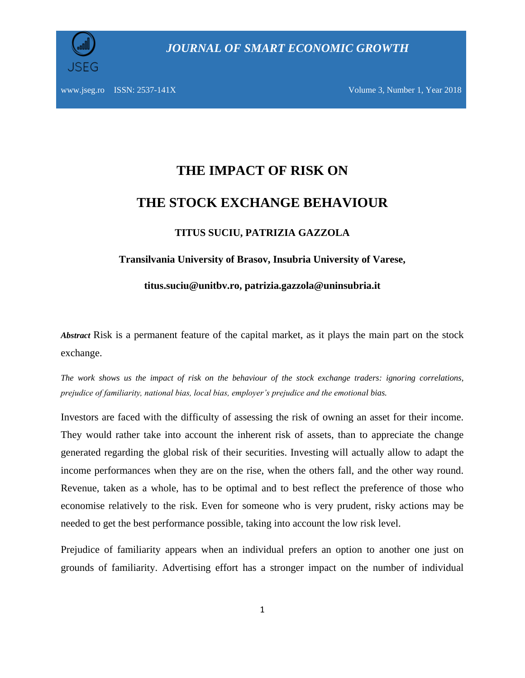

*JOURNAL OF SMART ECONOMIC GROWTH*

# **THE IMPACT OF RISK ON THE STOCK EXCHANGE BEHAVIOUR**

### **TITUS SUCIU, PATRIZIA GAZZOLA**

#### **Transilvania University of Brasov, Insubria University of Varese,**

**titus.suciu@unitbv.ro, patrizia.gazzola@uninsubria.it**

*Abstract* Risk is a permanent feature of the capital market, as it plays the main part on the stock exchange.

*The work shows us the impact of risk on the behaviour of the stock exchange traders: ignoring correlations, prejudice of familiarity, national bias, local bias, employer's prejudice and the emotional bias.*

Investors are faced with the difficulty of assessing the risk of owning an asset for their income. They would rather take into account the inherent risk of assets, than to appreciate the change generated regarding the global risk of their securities. Investing will actually allow to adapt the income performances when they are on the rise, when the others fall, and the other way round. Revenue, taken as a whole, has to be optimal and to best reflect the preference of those who economise relatively to the risk. Even for someone who is very prudent, risky actions may be needed to get the best performance possible, taking into account the low risk level.

Prejudice of familiarity appears when an individual prefers an option to another one just on grounds of familiarity. Advertising effort has a stronger impact on the number of individual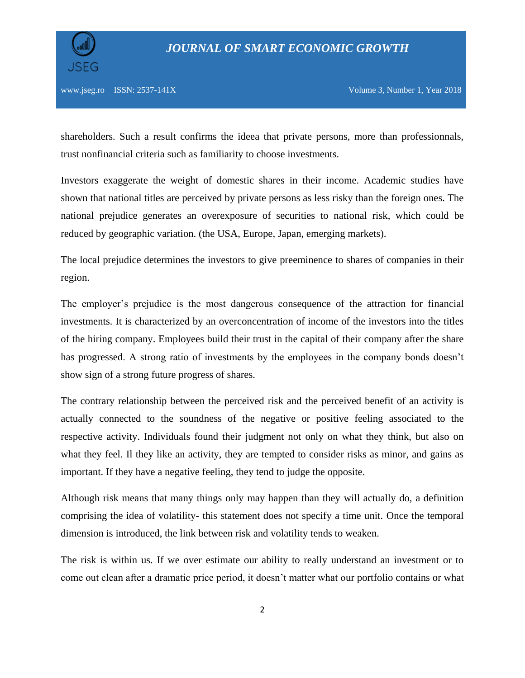

shareholders. Such a result confirms the ideea that private persons, more than professionnals, trust nonfinancial criteria such as familiarity to choose investments.

Investors exaggerate the weight of domestic shares in their income. Academic studies have shown that national titles are perceived by private persons as less risky than the foreign ones. The national prejudice generates an overexposure of securities to national risk, which could be reduced by geographic variation. (the USA, Europe, Japan, emerging markets).

The local prejudice determines the investors to give preeminence to shares of companies in their region.

The employer's prejudice is the most dangerous consequence of the attraction for financial investments. It is characterized by an overconcentration of income of the investors into the titles of the hiring company. Employees build their trust in the capital of their company after the share has progressed. A strong ratio of investments by the employees in the company bonds doesn't show sign of a strong future progress of shares.

The contrary relationship between the perceived risk and the perceived benefit of an activity is actually connected to the soundness of the negative or positive feeling associated to the respective activity. Individuals found their judgment not only on what they think, but also on what they feel. Il they like an activity, they are tempted to consider risks as minor, and gains as important. If they have a negative feeling, they tend to judge the opposite.

Although risk means that many things only may happen than they will actually do, a definition comprising the idea of volatility- this statement does not specify a time unit. Once the temporal dimension is introduced, the link between risk and volatility tends to weaken.

The risk is within us. If we over estimate our ability to really understand an investment or to come out clean after a dramatic price period, it doesn't matter what our portfolio contains or what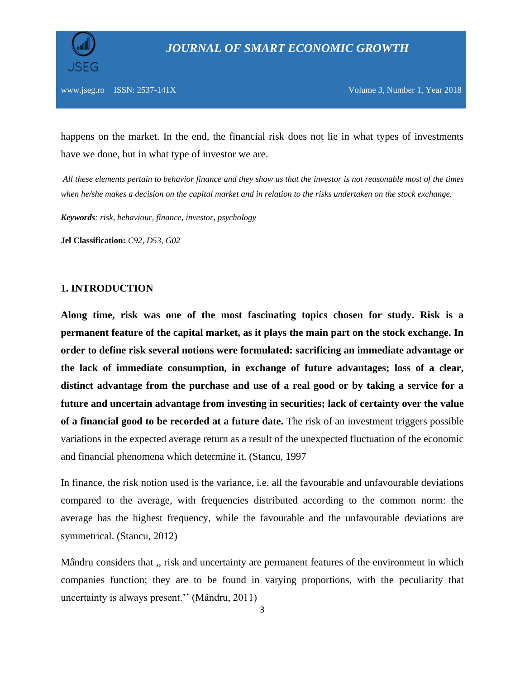

happens on the market. In the end, the financial risk does not lie in what types of investments have we done, but in what type of investor we are.

*All these elements pertain to behavior finance and they show us that the investor is not reasonable most of the times when he/she makes a decision on the capital market and in relation to the risks undertaken on the stock exchange.* 

*Keywords: risk, behaviour, finance, investor, psychology*

**Jel Classification:** *C92, D53, G02*

#### **1. INTRODUCTION**

**Along time, risk was one of the most fascinating topics chosen for study. Risk is a permanent feature of the capital market, as it plays the main part on the stock exchange. In order to define risk several notions were formulated: sacrificing an immediate advantage or the lack of immediate consumption, in exchange of future advantages; loss of a clear, distinct advantage from the purchase and use of a real good or by taking a service for a future and uncertain advantage from investing in securities; lack of certainty over the value of a financial good to be recorded at a future date.** The risk of an investment triggers possible variations in the expected average return as a result of the unexpected fluctuation of the economic and financial phenomena which determine it. (Stancu, 1997

In finance, the risk notion used is the variance, i.e. all the favourable and unfavourable deviations compared to the average, with frequencies distributed according to the common norm: the average has the highest frequency, while the favourable and the unfavourable deviations are symmetrical. (Stancu, 2012)

Mândru considers that ,, risk and uncertainty are permanent features of the environment in which companies function; they are to be found in varying proportions, with the peculiarity that uncertainty is always present.'' (Mândru, 2011)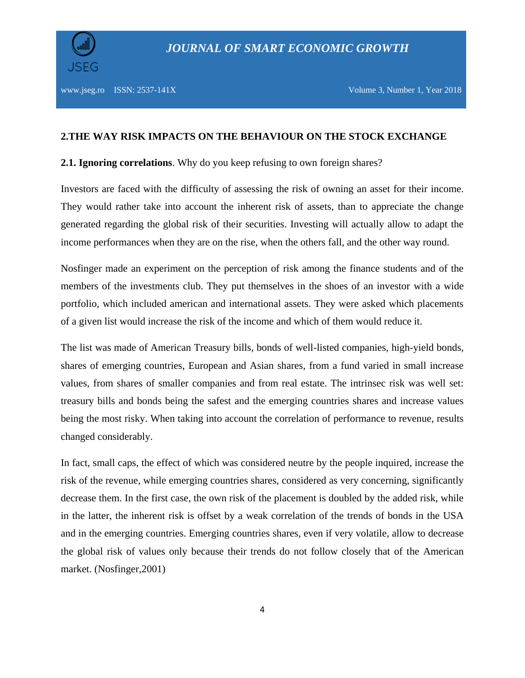

#### **2.THE WAY RISK IMPACTS ON THE BEHAVIOUR ON THE STOCK EXCHANGE**

**2.1. Ignoring correlations**. Why do you keep refusing to own foreign shares?

Investors are faced with the difficulty of assessing the risk of owning an asset for their income. They would rather take into account the inherent risk of assets, than to appreciate the change generated regarding the global risk of their securities. Investing will actually allow to adapt the income performances when they are on the rise, when the others fall, and the other way round.

Nosfinger made an experiment on the perception of risk among the finance students and of the members of the investments club. They put themselves in the shoes of an investor with a wide portfolio, which included american and international assets. They were asked which placements of a given list would increase the risk of the income and which of them would reduce it.

The list was made of American Treasury bills, bonds of well-listed companies, high-yield bonds, shares of emerging countries, European and Asian shares, from a fund varied in small increase values, from shares of smaller companies and from real estate. The intrinsec risk was well set: treasury bills and bonds being the safest and the emerging countries shares and increase values being the most risky. When taking into account the correlation of performance to revenue, results changed considerably.

In fact, small caps, the effect of which was considered neutre by the people inquired, increase the risk of the revenue, while emerging countries shares, considered as very concerning, significantly decrease them. In the first case, the own risk of the placement is doubled by the added risk, while in the latter, the inherent risk is offset by a weak correlation of the trends of bonds in the USA and in the emerging countries. Emerging countries shares, even if very volatile, allow to decrease the global risk of values only because their trends do not follow closely that of the American market. (Nosfinger,2001)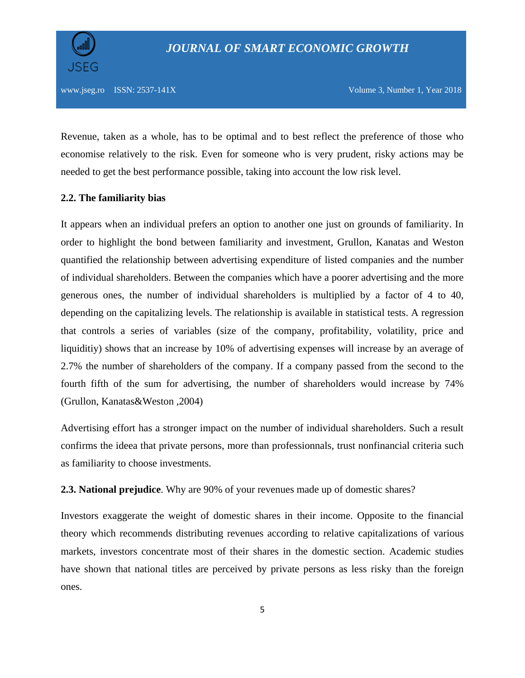Revenue, taken as a whole, has to be optimal and to best reflect the preference of those who economise relatively to the risk. Even for someone who is very prudent, risky actions may be needed to get the best performance possible, taking into account the low risk level.

#### **2.2. The familiarity bias**

It appears when an individual prefers an option to another one just on grounds of familiarity. In order to highlight the bond between familiarity and investment, Grullon, Kanatas and Weston quantified the relationship between advertising expenditure of listed companies and the number of individual shareholders. Between the companies which have a poorer advertising and the more generous ones, the number of individual shareholders is multiplied by a factor of 4 to 40, depending on the capitalizing levels. The relationship is available in statistical tests. A regression that controls a series of variables (size of the company, profitability, volatility, price and liquiditiy) shows that an increase by 10% of advertising expenses will increase by an average of 2.7% the number of shareholders of the company. If a company passed from the second to the fourth fifth of the sum for advertising, the number of shareholders would increase by 74% (Grullon, Kanatas&Weston ,2004)

Advertising effort has a stronger impact on the number of individual shareholders. Such a result confirms the ideea that private persons, more than professionnals, trust nonfinancial criteria such as familiarity to choose investments.

**2.3. National prejudice**. Why are 90% of your revenues made up of domestic shares?

Investors exaggerate the weight of domestic shares in their income. Opposite to the financial theory which recommends distributing revenues according to relative capitalizations of various markets, investors concentrate most of their shares in the domestic section. Academic studies have shown that national titles are perceived by private persons as less risky than the foreign ones.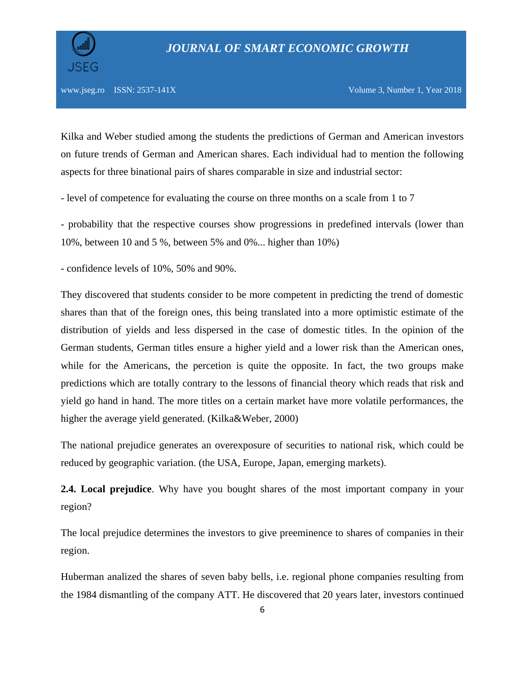Kilka and Weber studied among the students the predictions of German and American investors on future trends of German and American shares. Each individual had to mention the following aspects for three binational pairs of shares comparable in size and industrial sector:

- level of competence for evaluating the course on three months on a scale from 1 to 7

- probability that the respective courses show progressions in predefined intervals (lower than 10%, between 10 and 5 %, between 5% and 0%... higher than 10%)

- confidence levels of 10%, 50% and 90%.

They discovered that students consider to be more competent in predicting the trend of domestic shares than that of the foreign ones, this being translated into a more optimistic estimate of the distribution of yields and less dispersed in the case of domestic titles. In the opinion of the German students, German titles ensure a higher yield and a lower risk than the American ones, while for the Americans, the percetion is quite the opposite. In fact, the two groups make predictions which are totally contrary to the lessons of financial theory which reads that risk and yield go hand in hand. The more titles on a certain market have more volatile performances, the higher the average yield generated. (Kilka&Weber, 2000)

The national prejudice generates an overexposure of securities to national risk, which could be reduced by geographic variation. (the USA, Europe, Japan, emerging markets).

**2.4. Local prejudice**. Why have you bought shares of the most important company in your region?

The local prejudice determines the investors to give preeminence to shares of companies in their region.

Huberman analized the shares of seven baby bells, i.e. regional phone companies resulting from the 1984 dismantling of the company ATT. He discovered that 20 years later, investors continued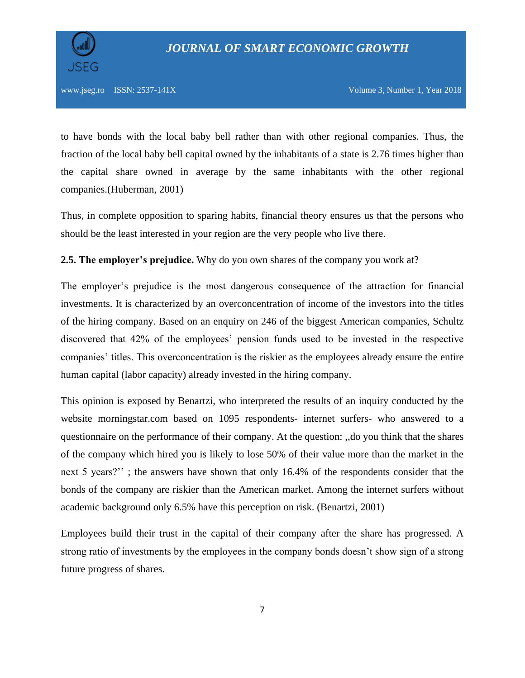



to have bonds with the local baby bell rather than with other regional companies. Thus, the fraction of the local baby bell capital owned by the inhabitants of a state is 2.76 times higher than the capital share owned in average by the same inhabitants with the other regional companies.(Huberman, 2001)

Thus, in complete opposition to sparing habits, financial theory ensures us that the persons who should be the least interested in your region are the very people who live there.

#### **2.5. The employer's prejudice.** Why do you own shares of the company you work at?

The employer's prejudice is the most dangerous consequence of the attraction for financial investments. It is characterized by an overconcentration of income of the investors into the titles of the hiring company. Based on an enquiry on 246 of the biggest American companies, Schultz discovered that 42% of the employees' pension funds used to be invested in the respective companies' titles. This overconcentration is the riskier as the employees already ensure the entire human capital (labor capacity) already invested in the hiring company.

This opinion is exposed by Benartzi, who interpreted the results of an inquiry conducted by the website morningstar.com based on 1095 respondents- internet surfers- who answered to a questionnaire on the performance of their company. At the question: ,,do you think that the shares of the company which hired you is likely to lose 50% of their value more than the market in the next 5 years?'' ; the answers have shown that only 16.4% of the respondents consider that the bonds of the company are riskier than the American market. Among the internet surfers without academic background only 6.5% have this perception on risk. (Benartzi, 2001)

Employees build their trust in the capital of their company after the share has progressed. A strong ratio of investments by the employees in the company bonds doesn't show sign of a strong future progress of shares.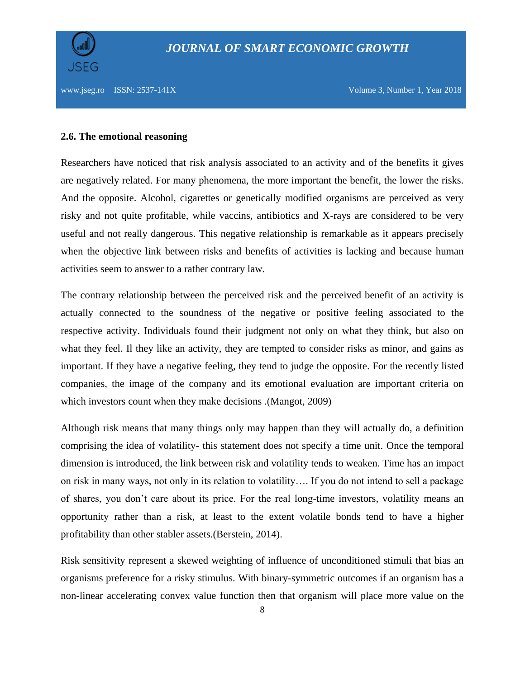

#### **2.6. The emotional reasoning**

Researchers have noticed that risk analysis associated to an activity and of the benefits it gives are negatively related. For many phenomena, the more important the benefit, the lower the risks. And the opposite. Alcohol, cigarettes or genetically modified organisms are perceived as very risky and not quite profitable, while vaccins, antibiotics and X-rays are considered to be very useful and not really dangerous. This negative relationship is remarkable as it appears precisely when the objective link between risks and benefits of activities is lacking and because human activities seem to answer to a rather contrary law.

The contrary relationship between the perceived risk and the perceived benefit of an activity is actually connected to the soundness of the negative or positive feeling associated to the respective activity. Individuals found their judgment not only on what they think, but also on what they feel. Il they like an activity, they are tempted to consider risks as minor, and gains as important. If they have a negative feeling, they tend to judge the opposite. For the recently listed companies, the image of the company and its emotional evaluation are important criteria on which investors count when they make decisions .(Mangot, 2009)

Although risk means that many things only may happen than they will actually do, a definition comprising the idea of volatility- this statement does not specify a time unit. Once the temporal dimension is introduced, the link between risk and volatility tends to weaken. Time has an impact on risk in many ways, not only in its relation to volatility…. If you do not intend to sell a package of shares, you don't care about its price. For the real long-time investors, volatility means an opportunity rather than a risk, at least to the extent volatile bonds tend to have a higher profitability than other stabler assets.(Berstein, 2014).

Risk sensitivity represent a skewed weighting of influence of unconditioned stimuli that bias an organisms preference for a risky stimulus. With binary-symmetric outcomes if an organism has a non-linear accelerating convex value function then that organism will place more value on the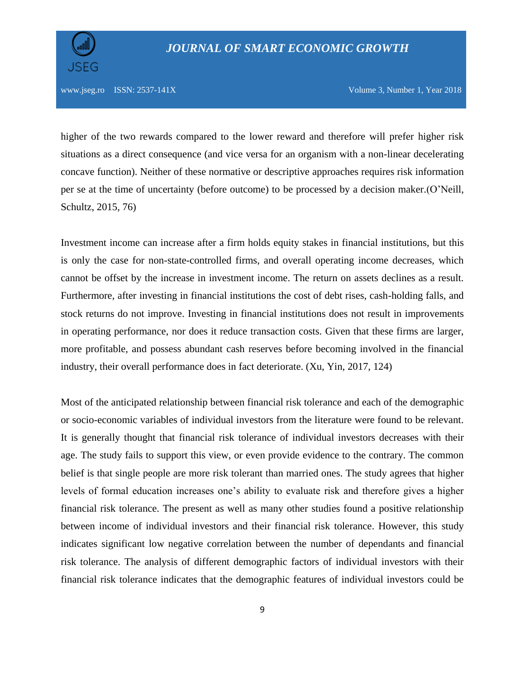

## *JOURNAL OF SMART ECONOMIC GROWTH*

www.jseg.ro ISSN:  $2537-141X$  Volume 3, Number 1, Year 2018

higher of the two rewards compared to the lower reward and therefore will prefer higher risk situations as a direct consequence (and vice versa for an organism with a non-linear decelerating concave function). Neither of these normative or descriptive approaches requires risk information per se at the time of uncertainty (before outcome) to be processed by a decision maker.(O'Neill, Schultz, 2015, 76)

Investment income can increase after a firm holds equity stakes in financial institutions, but this is only the case for non-state-controlled firms, and overall operating income decreases, which cannot be offset by the increase in investment income. The return on assets declines as a result. Furthermore, after investing in financial institutions the cost of debt rises, cash-holding falls, and stock returns do not improve. Investing in financial institutions does not result in improvements in operating performance, nor does it reduce transaction costs. Given that these firms are larger, more profitable, and possess abundant cash reserves before becoming involved in the financial industry, their overall performance does in fact deteriorate. (Xu, Yin, 2017, 124)

Most of the anticipated relationship between financial risk tolerance and each of the demographic or socio-economic variables of individual investors from the literature were found to be relevant. It is generally thought that financial risk tolerance of individual investors decreases with their age. The study fails to support this view, or even provide evidence to the contrary. The common belief is that single people are more risk tolerant than married ones. The study agrees that higher levels of formal education increases one's ability to evaluate risk and therefore gives a higher financial risk tolerance. The present as well as many other studies found a positive relationship between income of individual investors and their financial risk tolerance. However, this study indicates significant low negative correlation between the number of dependants and financial risk tolerance. The analysis of different demographic factors of individual investors with their financial risk tolerance indicates that the demographic features of individual investors could be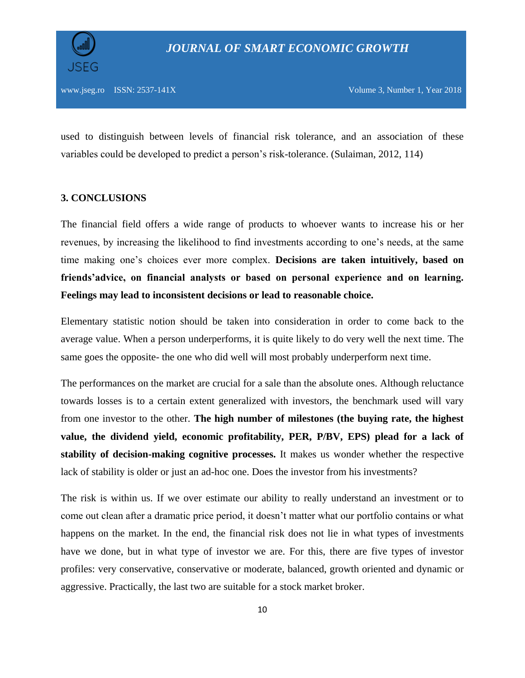

used to distinguish between levels of financial risk tolerance, and an association of these variables could be developed to predict a person's risk-tolerance. (Sulaiman, 2012, 114)

#### **3. CONCLUSIONS**

The financial field offers a wide range of products to whoever wants to increase his or her revenues, by increasing the likelihood to find investments according to one's needs, at the same time making one's choices ever more complex. **Decisions are taken intuitively, based on friends'advice, on financial analysts or based on personal experience and on learning. Feelings may lead to inconsistent decisions or lead to reasonable choice.**

Elementary statistic notion should be taken into consideration in order to come back to the average value. When a person underperforms, it is quite likely to do very well the next time. The same goes the opposite- the one who did well will most probably underperform next time.

The performances on the market are crucial for a sale than the absolute ones. Although reluctance towards losses is to a certain extent generalized with investors, the benchmark used will vary from one investor to the other. **The high number of milestones (the buying rate, the highest value, the dividend yield, economic profitability, PER, P/BV, EPS) plead for a lack of stability of decision-making cognitive processes.** It makes us wonder whether the respective lack of stability is older or just an ad-hoc one. Does the investor from his investments?

The risk is within us. If we over estimate our ability to really understand an investment or to come out clean after a dramatic price period, it doesn't matter what our portfolio contains or what happens on the market. In the end, the financial risk does not lie in what types of investments have we done, but in what type of investor we are. For this, there are five types of investor profiles: very conservative, conservative or moderate, balanced, growth oriented and dynamic or aggressive. Practically, the last two are suitable for a stock market broker.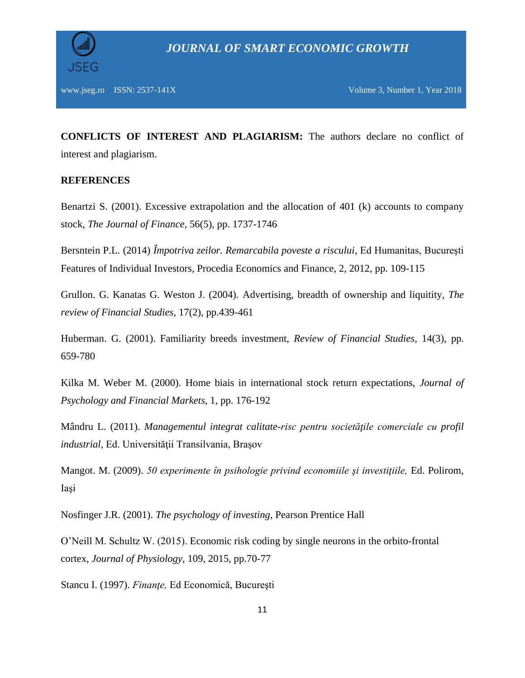

**CONFLICTS OF INTEREST AND PLAGIARISM:** The authors declare no conflict of interest and plagiarism.

#### **REFERENCES**

Benartzi S. (2001). Excessive extrapolation and the allocation of 401 (k) accounts to company stock, *The Journal of Finance*, 56(5), pp. 1737-1746

Bersntein P.L. (2014) *Împotriva zeilor. Remarcabila poveste a riscului*, Ed Humanitas, Bucureşti Features of Individual Investors, Procedia Economics and Finance, 2, 2012, pp. 109-115

Grullon. G. Kanatas G. Weston J. (2004). Advertising, breadth of ownership and liquitity, *The review of Financial Studies*, 17(2), pp.439-461

Huberman. G. (2001). Familiarity breeds investment, *Review of Financial Studies*, 14(3), pp. 659-780

Kilka M. Weber M. (2000). Home biais in international stock return expectations, *Journal of Psychology and Financial Markets*, 1, pp. 176-192

Mândru L. (2011). *Managementul integrat calitate-risc pentru societăţile comerciale cu profil industrial*, Ed. Universității Transilvania, Brasov

Mangot. M. (2009). *50 experimente în psihologie privind economiile şi investiţiile,* Ed. Polirom, Iaşi

Nosfinger J.R. (2001). *The psychology of investing*, Pearson Prentice Hall

O'Neill M. Schultz W. (2015). Economic risk coding by single neurons in the orbito-frontal cortex, *Journal of Physiology*, 109, 2015, pp.70-77

Stancu I. (1997). *Finanţe,* Ed Economică, Bucureşti